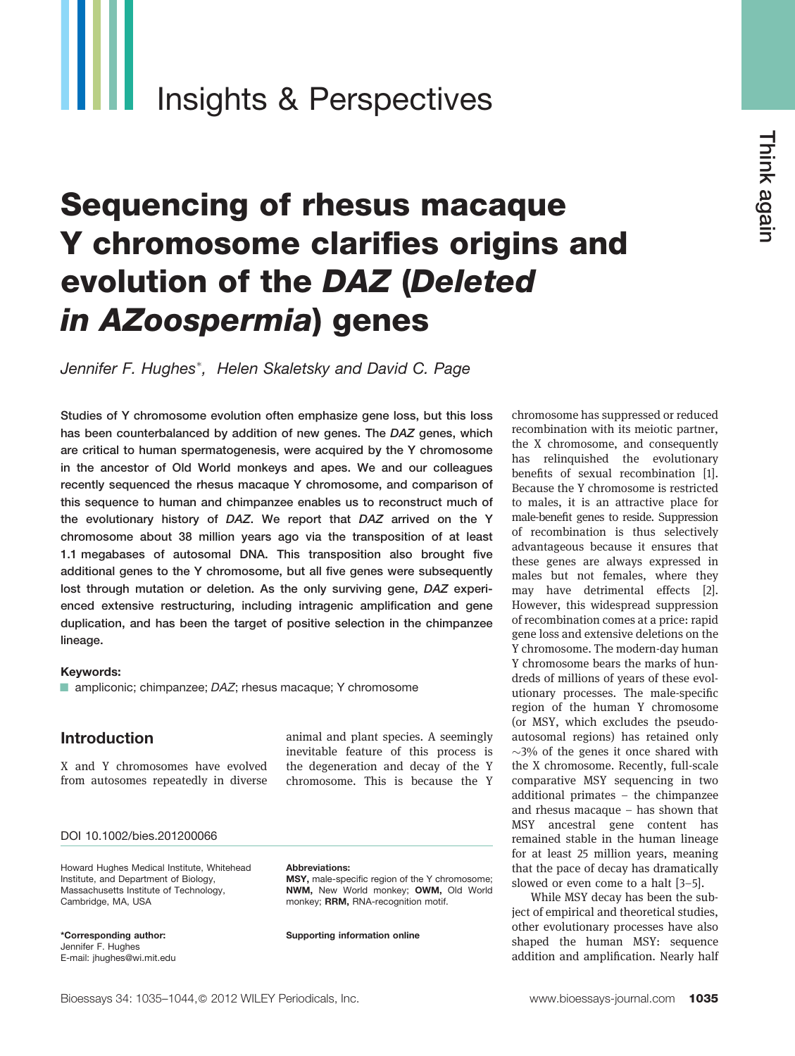# Insights & Perspectives

# Sequencing of rhesus macaque Y chromosome clarifies origins and evolution of the DAZ (Deleted in AZoospermia) genes

Jennifer F. Hughes<sup>\*</sup>, Helen Skaletsky and David C. Page

Studies of Y chromosome evolution often emphasize gene loss, but this loss has been counterbalanced by addition of new genes. The DAZ genes, which are critical to human spermatogenesis, were acquired by the Y chromosome in the ancestor of Old World monkeys and apes. We and our colleagues recently sequenced the rhesus macaque Y chromosome, and comparison of this sequence to human and chimpanzee enables us to reconstruct much of the evolutionary history of DAZ. We report that DAZ arrived on the Y chromosome about 38 million years ago via the transposition of at least 1.1 megabases of autosomal DNA. This transposition also brought five additional genes to the Y chromosome, but all five genes were subsequently lost through mutation or deletion. As the only surviving gene, DAZ experienced extensive restructuring, including intragenic amplification and gene duplication, and has been the target of positive selection in the chimpanzee lineage.

#### Keywords:

■ ampliconic; chimpanzee; DAZ; rhesus macaque; Y chromosome

#### Introduction

X and Y chromosomes have evolved from autosomes repeatedly in diverse

animal and plant species. A seemingly inevitable feature of this process is the degeneration and decay of the Y chromosome. This is because the Y

#### DOI 10.1002/bies.201200066

Howard Hughes Medical Institute, Whitehead Institute, and Department of Biology, Massachusetts Institute of Technology, Cambridge, MA, USA

\*Corresponding author: Jennifer F. Hughes E-mail: jhughes@wi.mit.edu

#### Abbreviations:

MSY, male-specific region of the Y chromosome; NWM, New World monkey; OWM, Old World monkey; RRM, RNA-recognition motif.

Supporting information online

chromosome has suppressed or reduced recombination with its meiotic partner, the X chromosome, and consequently has relinquished the evolutionary benefits of sexual recombination [1]. Because the Y chromosome is restricted to males, it is an attractive place for male-benefit genes to reside. Suppression of recombination is thus selectively advantageous because it ensures that these genes are always expressed in males but not females, where they may have detrimental effects [2]. However, this widespread suppression of recombination comes at a price: rapid gene loss and extensive deletions on the Y chromosome. The modern-day human Y chromosome bears the marks of hundreds of millions of years of these evolutionary processes. The male-specific region of the human Y chromosome (or MSY, which excludes the pseudoautosomal regions) has retained only  $\sim$ 3% of the genes it once shared with the X chromosome. Recently, full-scale comparative MSY sequencing in two additional primates – the chimpanzee and rhesus macaque – has shown that MSY ancestral gene content has remained stable in the human lineage for at least 25 million years, meaning that the pace of decay has dramatically slowed or even come to a halt [3–5].

While MSY decay has been the subject of empirical and theoretical studies, other evolutionary processes have also shaped the human MSY: sequence addition and amplification. Nearly half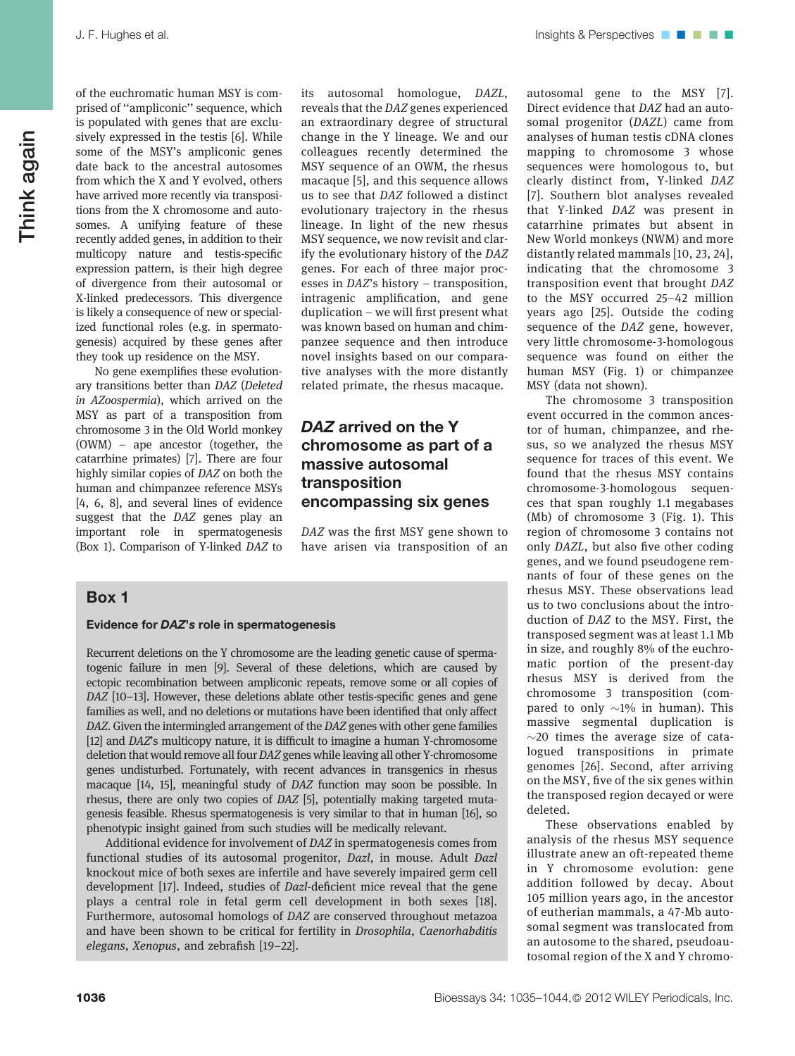of the euchromatic human MSY is comprised of ''ampliconic'' sequence, which is populated with genes that are exclusively expressed in the testis [6]. While some of the MSY's ampliconic genes date back to the ancestral autosomes from which the X and Y evolved, others have arrived more recently via transpositions from the X chromosome and autosomes. A unifying feature of these recently added genes, in addition to their multicopy nature and testis-specific expression pattern, is their high degree of divergence from their autosomal or X-linked predecessors. This divergence is likely a consequence of new or specialized functional roles (e.g. in spermatogenesis) acquired by these genes after they took up residence on the MSY.

No gene exemplifies these evolutionary transitions better than DAZ (Deleted in AZoospermia), which arrived on the MSY as part of a transposition from chromosome 3 in the Old World monkey (OWM) – ape ancestor (together, the catarrhine primates) [7]. There are four highly similar copies of DAZ on both the human and chimpanzee reference MSYs [4, 6, 8], and several lines of evidence suggest that the DAZ genes play an important role in spermatogenesis (Box 1). Comparison of Y-linked DAZ to its autosomal homologue, DAZL, reveals that the DAZ genes experienced an extraordinary degree of structural change in the Y lineage. We and our colleagues recently determined the MSY sequence of an OWM, the rhesus macaque [5], and this sequence allows us to see that DAZ followed a distinct evolutionary trajectory in the rhesus lineage. In light of the new rhesus MSY sequence, we now revisit and clarify the evolutionary history of the DAZ genes. For each of three major processes in DAZ's history – transposition, intragenic amplification, and gene duplication – we will first present what was known based on human and chimpanzee sequence and then introduce novel insights based on our comparative analyses with the more distantly related primate, the rhesus macaque.

# DAZ arrived on the Y chromosome as part of a massive autosomal transposition encompassing six genes

DAZ was the first MSY gene shown to have arisen via transposition of an

#### Box 1

#### Evidence for DAZ's role in spermatogenesis

Recurrent deletions on the Y chromosome are the leading genetic cause of spermatogenic failure in men [9]. Several of these deletions, which are caused by ectopic recombination between ampliconic repeats, remove some or all copies of DAZ [10–13]. However, these deletions ablate other testis-specific genes and gene families as well, and no deletions or mutations have been identified that only affect DAZ. Given the intermingled arrangement of the DAZ genes with other gene families [12] and DAZ's multicopy nature, it is difficult to imagine a human Y-chromosome deletion that would remove all four DAZ genes while leaving all other Y-chromosome genes undisturbed. Fortunately, with recent advances in transgenics in rhesus macaque [14, 15], meaningful study of DAZ function may soon be possible. In rhesus, there are only two copies of DAZ [5], potentially making targeted mutagenesis feasible. Rhesus spermatogenesis is very similar to that in human [16], so phenotypic insight gained from such studies will be medically relevant.

Additional evidence for involvement of DAZ in spermatogenesis comes from functional studies of its autosomal progenitor, Dazl, in mouse. Adult Dazl knockout mice of both sexes are infertile and have severely impaired germ cell development [17]. Indeed, studies of Dazl-deficient mice reveal that the gene plays a central role in fetal germ cell development in both sexes [18]. Furthermore, autosomal homologs of DAZ are conserved throughout metazoa and have been shown to be critical for fertility in Drosophila, Caenorhabditis elegans, Xenopus, and zebrafish [19–22].

autosomal gene to the MSY [7]. Direct evidence that DAZ had an autosomal progenitor (DAZL) came from analyses of human testis cDNA clones mapping to chromosome 3 whose sequences were homologous to, but clearly distinct from, Y-linked DAZ [7]. Southern blot analyses revealed that Y-linked DAZ was present in catarrhine primates but absent in New World monkeys (NWM) and more distantly related mammals [10, 23, 24], indicating that the chromosome 3 transposition event that brought DAZ to the MSY occurred 25–42 million years ago [25]. Outside the coding sequence of the DAZ gene, however, very little chromosome-3-homologous sequence was found on either the human MSY (Fig. 1) or chimpanzee MSY (data not shown).

The chromosome 3 transposition event occurred in the common ancestor of human, chimpanzee, and rhesus, so we analyzed the rhesus MSY sequence for traces of this event. We found that the rhesus MSY contains chromosome-3-homologous sequences that span roughly 1.1 megabases (Mb) of chromosome 3 (Fig. 1). This region of chromosome 3 contains not only DAZL, but also five other coding genes, and we found pseudogene remnants of four of these genes on the rhesus MSY. These observations lead us to two conclusions about the introduction of DAZ to the MSY. First, the transposed segment was at least 1.1 Mb in size, and roughly 8% of the euchromatic portion of the present-day rhesus MSY is derived from the chromosome 3 transposition (compared to only  ${\sim}1\%$  in human). This massive segmental duplication is  $\sim$ 20 times the average size of catalogued transpositions in primate genomes [26]. Second, after arriving on the MSY, five of the six genes within the transposed region decayed or were deleted.

These observations enabled by analysis of the rhesus MSY sequence illustrate anew an oft-repeated theme in Y chromosome evolution: gene addition followed by decay. About 105 million years ago, in the ancestor of eutherian mammals, a 47-Mb autosomal segment was translocated from an autosome to the shared, pseudoautosomal region of the X and Y chromo-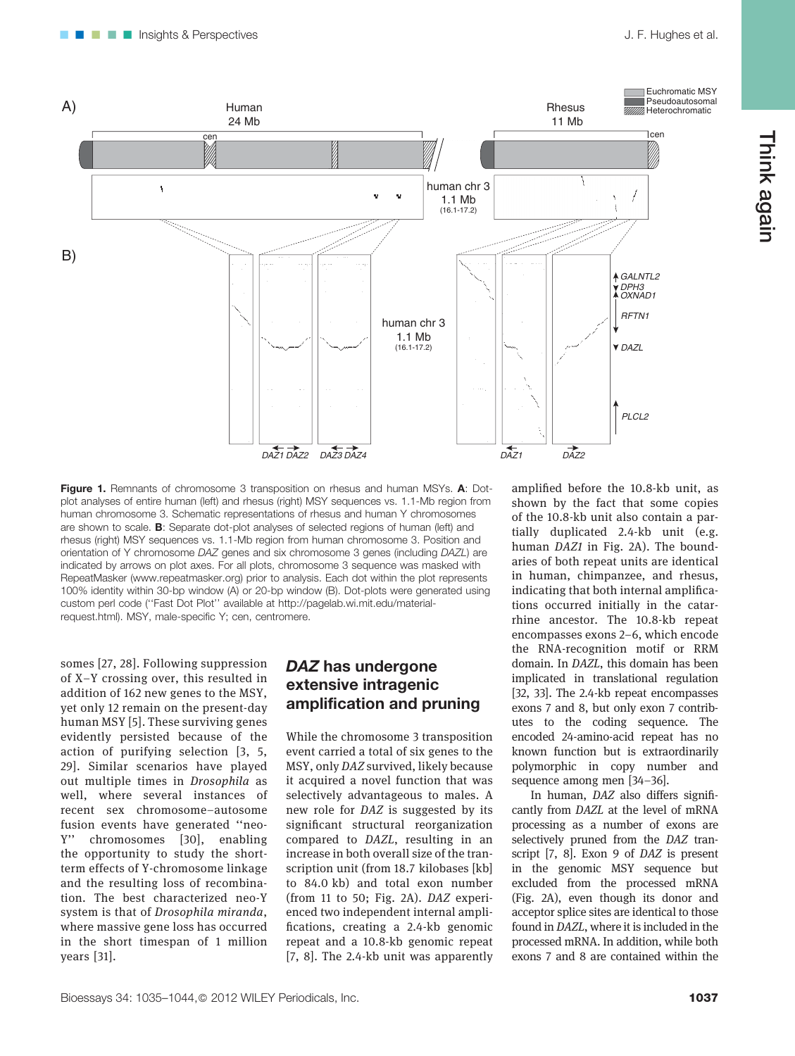

Figure 1. Remnants of chromosome 3 transposition on rhesus and human MSYs. A: Dotplot analyses of entire human (left) and rhesus (right) MSY sequences vs. 1.1-Mb region from human chromosome 3. Schematic representations of rhesus and human Y chromosomes are shown to scale. B: Separate dot-plot analyses of selected regions of human (left) and rhesus (right) MSY sequences vs. 1.1-Mb region from human chromosome 3. Position and orientation of Y chromosome DAZ genes and six chromosome 3 genes (including DAZL) are indicated by arrows on plot axes. For all plots, chromosome 3 sequence was masked with RepeatMasker (www.repeatmasker.org) prior to analysis. Each dot within the plot represents 100% identity within 30-bp window (A) or 20-bp window (B). Dot-plots were generated using custom perl code (''Fast Dot Plot'' available at http://pagelab.wi.mit.edu/materialrequest.html). MSY, male-specific Y; cen, centromere.

somes [27, 28]. Following suppression of X–Y crossing over, this resulted in addition of 162 new genes to the MSY, yet only 12 remain on the present-day human MSY [5]. These surviving genes evidently persisted because of the action of purifying selection [3, 5, 29]. Similar scenarios have played out multiple times in Drosophila as well, where several instances of recent sex chromosome–autosome fusion events have generated ''neo-Y'' chromosomes [30], enabling the opportunity to study the shortterm effects of Y-chromosome linkage and the resulting loss of recombination. The best characterized neo-Y system is that of Drosophila miranda, where massive gene loss has occurred in the short timespan of 1 million years [31].

## DAZ has undergone extensive intragenic amplification and pruning

While the chromosome 3 transposition event carried a total of six genes to the MSY, only DAZ survived, likely because it acquired a novel function that was selectively advantageous to males. A new role for DAZ is suggested by its significant structural reorganization compared to DAZL, resulting in an increase in both overall size of the transcription unit (from 18.7 kilobases [kb] to 84.0 kb) and total exon number (from 11 to 50; Fig. 2A). DAZ experienced two independent internal amplifications, creating a 2.4-kb genomic repeat and a 10.8-kb genomic repeat [7, 8]. The 2.4-kb unit was apparently

amplified before the 10.8-kb unit, as shown by the fact that some copies of the 10.8-kb unit also contain a partially duplicated 2.4-kb unit (e.g. human DAZ1 in Fig. 2A). The boundaries of both repeat units are identical in human, chimpanzee, and rhesus, indicating that both internal amplifications occurred initially in the catarrhine ancestor. The 10.8-kb repeat encompasses exons 2–6, which encode the RNA-recognition motif or RRM domain. In DAZL, this domain has been implicated in translational regulation [32, 33]. The 2.4-kb repeat encompasses exons 7 and 8, but only exon 7 contributes to the coding sequence. The encoded 24-amino-acid repeat has no known function but is extraordinarily polymorphic in copy number and sequence among men [34–36].

In human, DAZ also differs significantly from DAZL at the level of mRNA processing as a number of exons are selectively pruned from the DAZ transcript [7, 8]. Exon 9 of DAZ is present in the genomic MSY sequence but excluded from the processed mRNA (Fig. 2A), even though its donor and acceptor splice sites are identical to those found in DAZL, where it is included in the processed mRNA. In addition, while both exons 7 and 8 are contained within the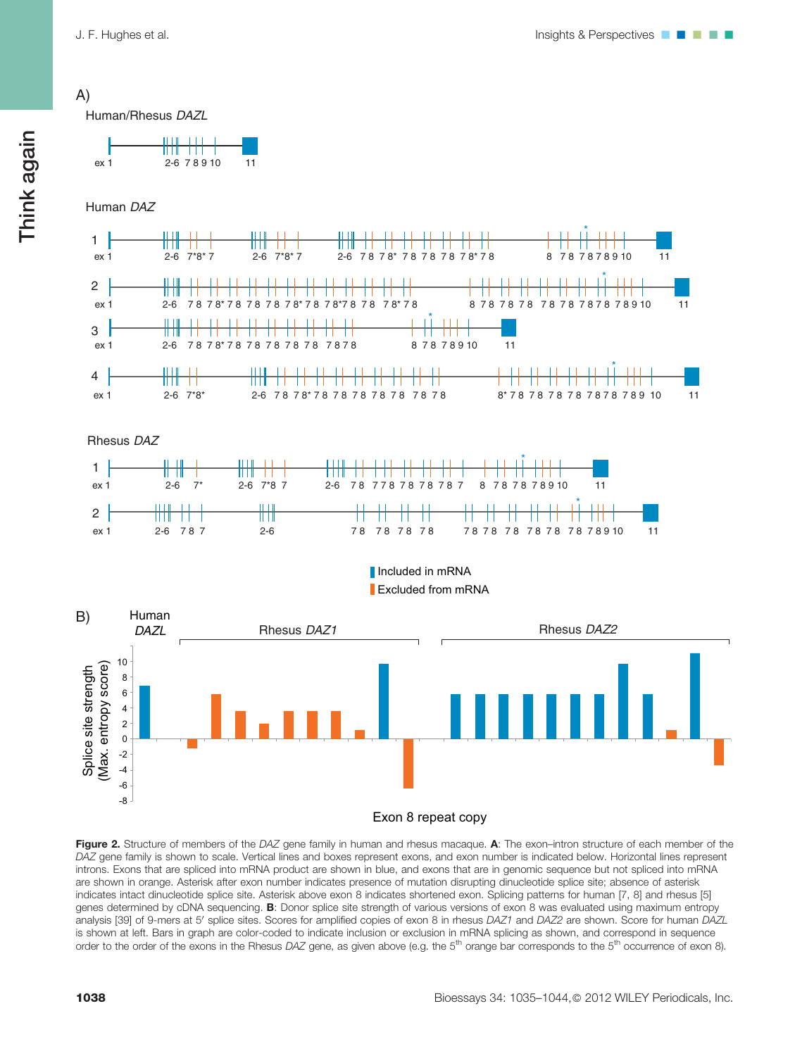A)



Human/Rhesus *DAZL*





Rhesus *DAZ*



#### Included in mRNA Excluded from mRNA



Figure 2. Structure of members of the DAZ gene family in human and rhesus macaque. A: The exon-intron structure of each member of the DAZ gene family is shown to scale. Vertical lines and boxes represent exons, and exon number is indicated below. Horizontal lines represent introns. Exons that are spliced into mRNA product are shown in blue, and exons that are in genomic sequence but not spliced into mRNA are shown in orange. Asterisk after exon number indicates presence of mutation disrupting dinucleotide splice site; absence of asterisk indicates intact dinucleotide splice site. Asterisk above exon 8 indicates shortened exon. Splicing patterns for human [7, 8] and rhesus [5] genes determined by cDNA sequencing. B: Donor splice site strength of various versions of exon 8 was evaluated using maximum entropy analysis [39] of 9-mers at 5' splice sites. Scores for amplified copies of exon 8 in rhesus DAZ1 and DAZ2 are shown. Score for human DAZL is shown at left. Bars in graph are color-coded to indicate inclusion or exclusion in mRNA splicing as shown, and correspond in sequence order to the order of the exons in the Rhesus DAZ gene, as given above (e.g. the 5<sup>th</sup> orange bar corresponds to the 5<sup>th</sup> occurrence of exon 8).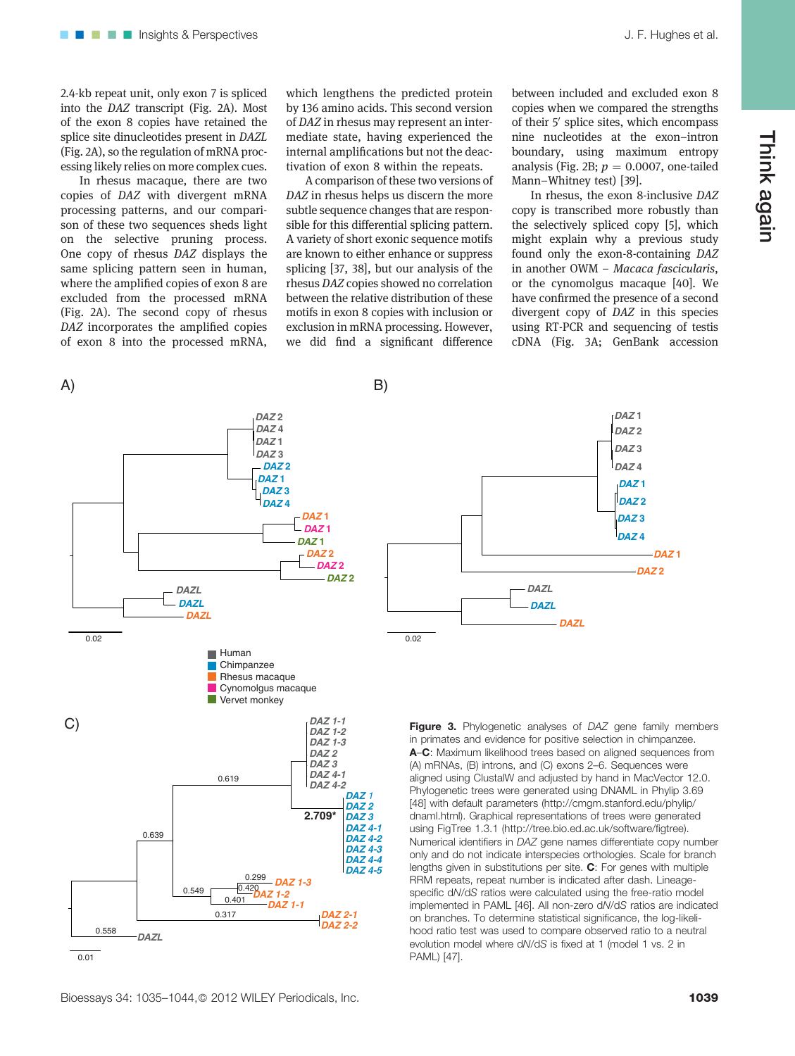2.4-kb repeat unit, only exon 7 is spliced into the DAZ transcript (Fig. 2A). Most of the exon 8 copies have retained the splice site dinucleotides present in DAZL (Fig. 2A), so the regulation of mRNA processing likely relies on more complex cues.

In rhesus macaque, there are two copies of DAZ with divergent mRNA processing patterns, and our comparison of these two sequences sheds light on the selective pruning process. One copy of rhesus DAZ displays the same splicing pattern seen in human, where the amplified copies of exon 8 are excluded from the processed mRNA (Fig. 2A). The second copy of rhesus DAZ incorporates the amplified copies of exon 8 into the processed mRNA, which lengthens the predicted protein by 136 amino acids. This second version of DAZ in rhesus may represent an intermediate state, having experienced the internal amplifications but not the deactivation of exon 8 within the repeats.

A comparison of these two versions of DAZ in rhesus helps us discern the more subtle sequence changes that are responsible for this differential splicing pattern. A variety of short exonic sequence motifs are known to either enhance or suppress splicing [37, 38], but our analysis of the rhesus DAZ copies showed no correlation between the relative distribution of these motifs in exon 8 copies with inclusion or exclusion in mRNA processing. However, we did find a significant difference

between included and excluded exon 8 copies when we compared the strengths of their 5' splice sites, which encompass nine nucleotides at the exon–intron boundary, using maximum entropy analysis (Fig. 2B;  $p = 0.0007$ , one-tailed Mann–Whitney test) [39].

In rhesus, the exon 8-inclusive DAZ copy is transcribed more robustly than the selectively spliced copy [5], which might explain why a previous study found only the exon-8-containing DAZ in another OWM – Macaca fascicularis, or the cynomolgus macaque [40]. We have confirmed the presence of a second divergent copy of DAZ in this species using RT-PCR and sequencing of testis cDNA (Fig. 3A; GenBank accession





in primates and evidence for positive selection in chimpanzee. A–C: Maximum likelihood trees based on aligned sequences from (A) mRNAs, (B) introns, and (C) exons 2–6. Sequences were aligned using ClustalW and adjusted by hand in MacVector 12.0. Phylogenetic trees were generated using DNAML in Phylip 3.69 [48] with default parameters (http://cmgm.stanford.edu/phylip/ dnaml.html). Graphical representations of trees were generated using FigTree 1.3.1 (http://tree.bio.ed.ac.uk/software/figtree). Numerical identifiers in DAZ gene names differentiate copy number only and do not indicate interspecies orthologies. Scale for branch lengths given in substitutions per site. C: For genes with multiple RRM repeats, repeat number is indicated after dash. Lineagespecific dN/dS ratios were calculated using the free-ratio model implemented in PAML [46]. All non-zero dN/dS ratios are indicated on branches. To determine statistical significance, the log-likelihood ratio test was used to compare observed ratio to a neutral evolution model where dN/dS is fixed at 1 (model 1 vs. 2 in PAML) [47].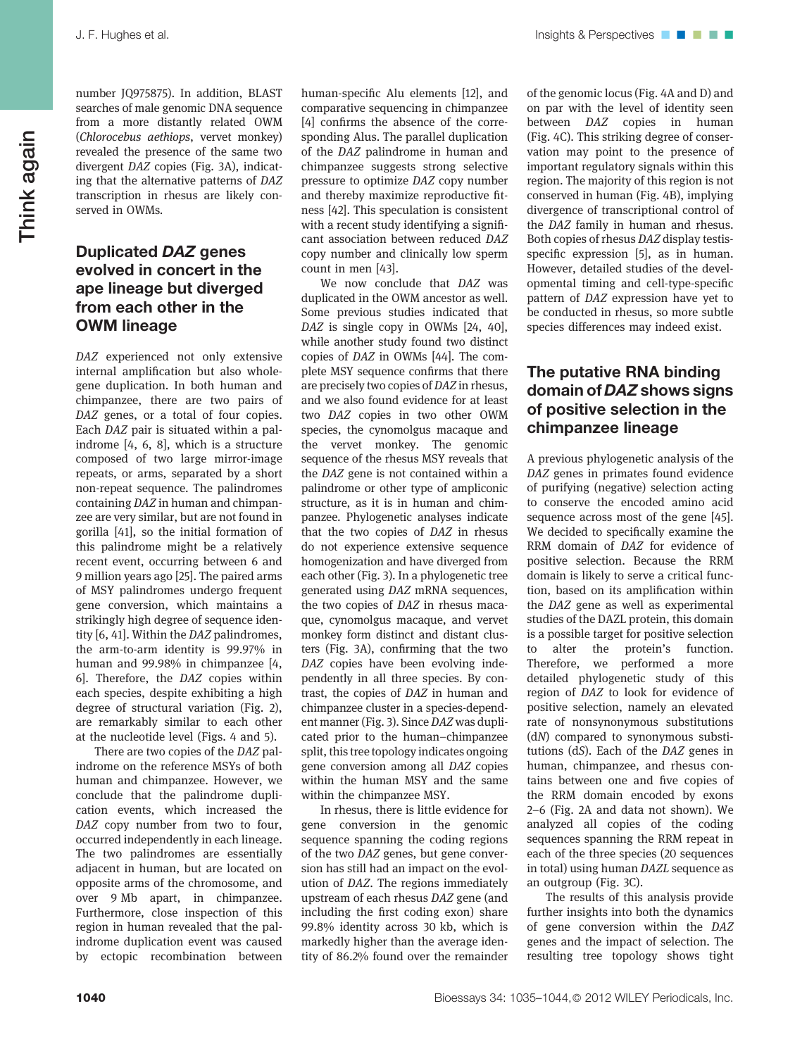number JQ975875). In addition, BLAST searches of male genomic DNA sequence from a more distantly related OWM (Chlorocebus aethiops, vervet monkey) revealed the presence of the same two divergent DAZ copies (Fig. 3A), indicating that the alternative patterns of DAZ transcription in rhesus are likely conserved in OWMs.

### Duplicated DAZ genes evolved in concert in the ape lineage but diverged from each other in the OWM lineage

DAZ experienced not only extensive internal amplification but also wholegene duplication. In both human and chimpanzee, there are two pairs of DAZ genes, or a total of four copies. Each DAZ pair is situated within a palindrome [4, 6, 8], which is a structure composed of two large mirror-image repeats, or arms, separated by a short non-repeat sequence. The palindromes containing DAZ in human and chimpanzee are very similar, but are not found in gorilla [41], so the initial formation of this palindrome might be a relatively recent event, occurring between 6 and 9 million years ago [25]. The paired arms of MSY palindromes undergo frequent gene conversion, which maintains a strikingly high degree of sequence identity [6, 41]. Within the DAZ palindromes, the arm-to-arm identity is 99.97% in human and 99.98% in chimpanzee [4, 6]. Therefore, the DAZ copies within each species, despite exhibiting a high degree of structural variation (Fig. 2), are remarkably similar to each other at the nucleotide level (Figs. 4 and 5).

There are two copies of the DAZ palindrome on the reference MSYs of both human and chimpanzee. However, we conclude that the palindrome duplication events, which increased the DAZ copy number from two to four, occurred independently in each lineage. The two palindromes are essentially adjacent in human, but are located on opposite arms of the chromosome, and over 9 Mb apart, in chimpanzee. Furthermore, close inspection of this region in human revealed that the palindrome duplication event was caused by ectopic recombination between human-specific Alu elements [12], and comparative sequencing in chimpanzee [4] confirms the absence of the corresponding Alus. The parallel duplication of the DAZ palindrome in human and chimpanzee suggests strong selective pressure to optimize DAZ copy number and thereby maximize reproductive fitness [42]. This speculation is consistent with a recent study identifying a significant association between reduced DAZ copy number and clinically low sperm count in men [43].

We now conclude that DAZ was duplicated in the OWM ancestor as well. Some previous studies indicated that DAZ is single copy in OWMs [24, 40], while another study found two distinct copies of DAZ in OWMs [44]. The complete MSY sequence confirms that there are precisely two copies of DAZ in rhesus, and we also found evidence for at least two DAZ copies in two other OWM species, the cynomolgus macaque and the vervet monkey. The genomic sequence of the rhesus MSY reveals that the DAZ gene is not contained within a palindrome or other type of ampliconic structure, as it is in human and chimpanzee. Phylogenetic analyses indicate that the two copies of DAZ in rhesus do not experience extensive sequence homogenization and have diverged from each other (Fig. 3). In a phylogenetic tree generated using DAZ mRNA sequences, the two copies of DAZ in rhesus macaque, cynomolgus macaque, and vervet monkey form distinct and distant clusters (Fig. 3A), confirming that the two DAZ copies have been evolving independently in all three species. By contrast, the copies of DAZ in human and chimpanzee cluster in a species-dependent manner (Fig. 3). Since DAZ was duplicated prior to the human–chimpanzee split, this tree topology indicates ongoing gene conversion among all DAZ copies within the human MSY and the same within the chimpanzee MSY.

In rhesus, there is little evidence for gene conversion in the genomic sequence spanning the coding regions of the two DAZ genes, but gene conversion has still had an impact on the evolution of DAZ. The regions immediately upstream of each rhesus DAZ gene (and including the first coding exon) share 99.8% identity across 30 kb, which is markedly higher than the average identity of 86.2% found over the remainder

of the genomic locus (Fig. 4A and D) and on par with the level of identity seen between DAZ copies in human (Fig. 4C). This striking degree of conservation may point to the presence of important regulatory signals within this region. The majority of this region is not conserved in human (Fig. 4B), implying divergence of transcriptional control of the DAZ family in human and rhesus. Both copies of rhesus DAZ display testisspecific expression [5], as in human. However, detailed studies of the developmental timing and cell-type-specific pattern of DAZ expression have yet to be conducted in rhesus, so more subtle species differences may indeed exist.

# The putative RNA binding domain of DAZ shows signs of positive selection in the chimpanzee lineage

A previous phylogenetic analysis of the DAZ genes in primates found evidence of purifying (negative) selection acting to conserve the encoded amino acid sequence across most of the gene [45]. We decided to specifically examine the RRM domain of DAZ for evidence of positive selection. Because the RRM domain is likely to serve a critical function, based on its amplification within the DAZ gene as well as experimental studies of the DAZL protein, this domain is a possible target for positive selection to alter the protein's function. Therefore, we performed a more detailed phylogenetic study of this region of DAZ to look for evidence of positive selection, namely an elevated rate of nonsynonymous substitutions (dN) compared to synonymous substitutions (dS). Each of the DAZ genes in human, chimpanzee, and rhesus contains between one and five copies of the RRM domain encoded by exons 2–6 (Fig. 2A and data not shown). We analyzed all copies of the coding sequences spanning the RRM repeat in each of the three species (20 sequences in total) using human DAZL sequence as an outgroup (Fig. 3C).

The results of this analysis provide further insights into both the dynamics of gene conversion within the DAZ genes and the impact of selection. The resulting tree topology shows tight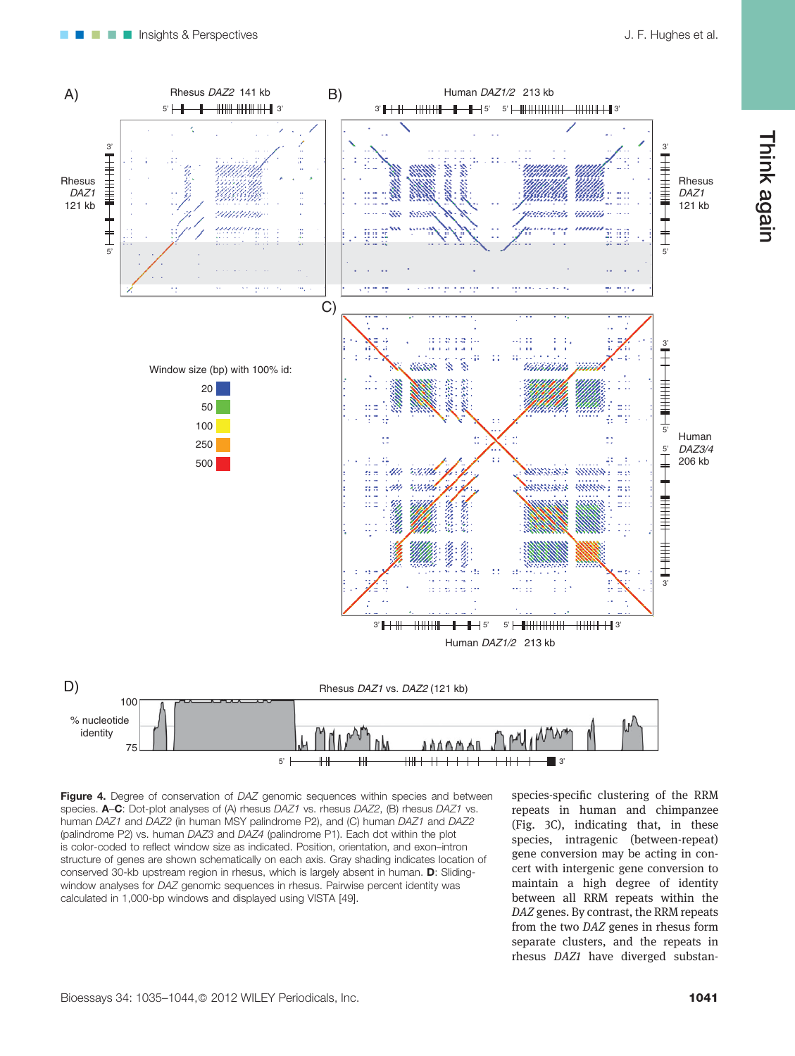Think again



Figure 4. Degree of conservation of DAZ genomic sequences within species and between species. A-C: Dot-plot analyses of (A) rhesus DAZ1 vs. rhesus DAZ2, (B) rhesus DAZ1 vs. human DAZ1 and DAZ2 (in human MSY palindrome P2), and (C) human DAZ1 and DAZ2 (palindrome P2) vs. human DAZ3 and DAZ4 (palindrome P1). Each dot within the plot is color-coded to reflect window size as indicated. Position, orientation, and exon–intron structure of genes are shown schematically on each axis. Gray shading indicates location of conserved 30-kb upstream region in rhesus, which is largely absent in human. D: Slidingwindow analyses for DAZ genomic sequences in rhesus. Pairwise percent identity was calculated in 1,000-bp windows and displayed using VISTA [49].

species-specific clustering of the RRM repeats in human and chimpanzee (Fig. 3C), indicating that, in these species, intragenic (between-repeat) gene conversion may be acting in concert with intergenic gene conversion to maintain a high degree of identity between all RRM repeats within the DAZ genes. By contrast, the RRM repeats from the two DAZ genes in rhesus form separate clusters, and the repeats in rhesus DAZ1 have diverged substan-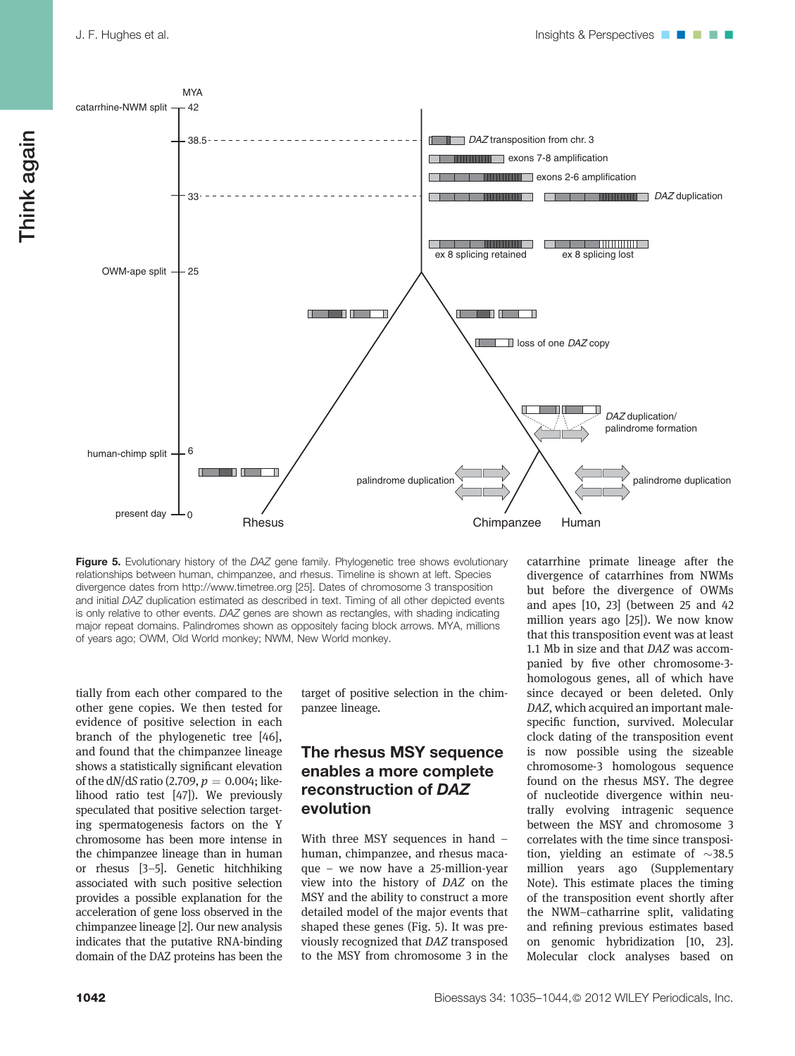

Figure 5. Evolutionary history of the DAZ gene family. Phylogenetic tree shows evolutionary relationships between human, chimpanzee, and rhesus. Timeline is shown at left. Species divergence dates from http://www.timetree.org [25]. Dates of chromosome 3 transposition and initial DAZ duplication estimated as described in text. Timing of all other depicted events is only relative to other events. DAZ genes are shown as rectangles, with shading indicating major repeat domains. Palindromes shown as oppositely facing block arrows. MYA, millions of years ago; OWM, Old World monkey; NWM, New World monkey.

tially from each other compared to the other gene copies. We then tested for evidence of positive selection in each branch of the phylogenetic tree [46], and found that the chimpanzee lineage shows a statistically significant elevation of the  $dN/dS$  ratio (2.709,  $p = 0.004$ ; likelihood ratio test [47]). We previously speculated that positive selection targeting spermatogenesis factors on the Y chromosome has been more intense in the chimpanzee lineage than in human or rhesus [3–5]. Genetic hitchhiking associated with such positive selection provides a possible explanation for the acceleration of gene loss observed in the chimpanzee lineage [2]. Our new analysis indicates that the putative RNA-binding domain of the DAZ proteins has been the target of positive selection in the chimpanzee lineage.

## The rhesus MSY sequence enables a more complete reconstruction of DAZ evolution

With three MSY sequences in hand – human, chimpanzee, and rhesus macaque – we now have a 25-million-year view into the history of DAZ on the MSY and the ability to construct a more detailed model of the major events that shaped these genes (Fig. 5). It was previously recognized that DAZ transposed to the MSY from chromosome 3 in the

catarrhine primate lineage after the divergence of catarrhines from NWMs but before the divergence of OWMs and apes [10, 23] (between 25 and 42 million years ago [25]). We now know that this transposition event was at least 1.1 Mb in size and that DAZ was accompanied by five other chromosome-3 homologous genes, all of which have since decayed or been deleted. Only DAZ, which acquired an important malespecific function, survived. Molecular clock dating of the transposition event is now possible using the sizeable chromosome-3 homologous sequence found on the rhesus MSY. The degree of nucleotide divergence within neutrally evolving intragenic sequence between the MSY and chromosome 3 correlates with the time since transposition, yielding an estimate of  $\sim$ 38.5 million years ago (Supplementary Note). This estimate places the timing of the transposition event shortly after the NWM–catharrine split, validating and refining previous estimates based on genomic hybridization [10, 23]. Molecular clock analyses based on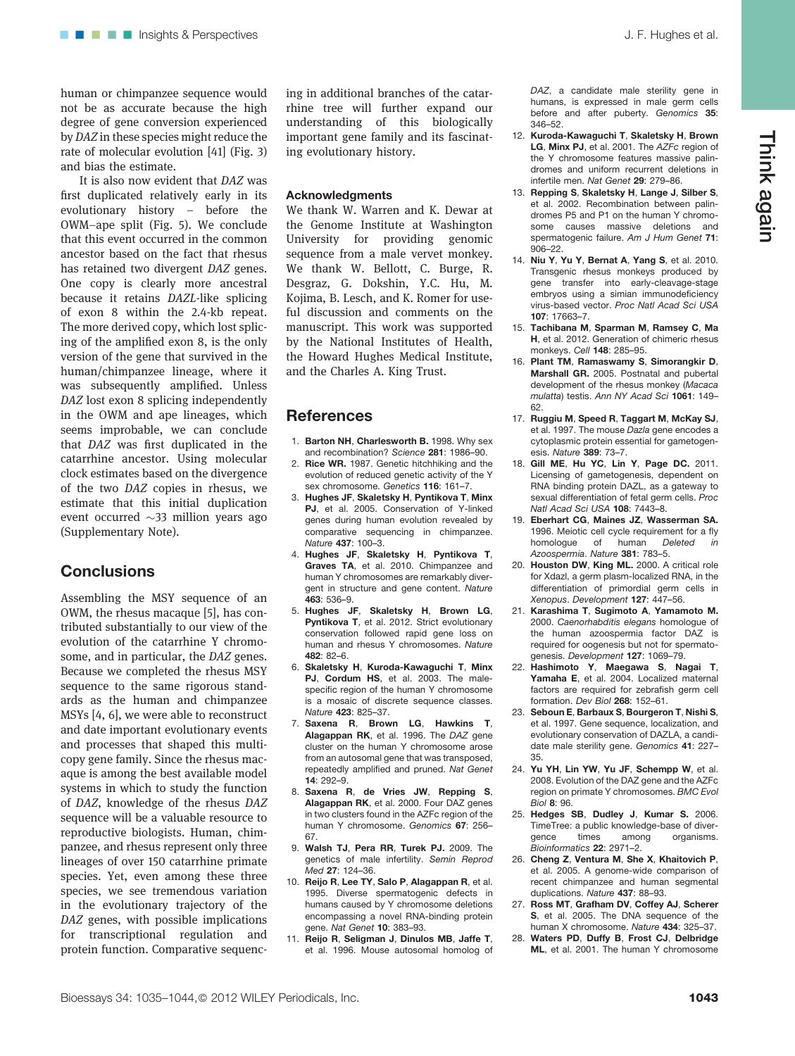human or chimpanzee sequence would not be as accurate because the high degree of gene conversion experienced by DAZ in these species might reduce the rate of molecular evolution [41] (Fig. 3) and bias the estimate.

It is also now evident that DAZ was first duplicated relatively early in its evolutionary history – before the OWM–ape split (Fig. 5). We conclude that this event occurred in the common ancestor based on the fact that rhesus has retained two divergent DAZ genes. One copy is clearly more ancestral because it retains DAZL-like splicing of exon 8 within the 2.4-kb repeat. The more derived copy, which lost splicing of the amplified exon 8, is the only version of the gene that survived in the human/chimpanzee lineage, where it was subsequently amplified. Unless DAZ lost exon 8 splicing independently in the OWM and ape lineages, which seems improbable, we can conclude that DAZ was first duplicated in the catarrhine ancestor. Using molecular clock estimates based on the divergence of the two DAZ copies in rhesus, we estimate that this initial duplication event occurred  $\sim$ 33 million years ago (Supplementary Note).

# **Conclusions**

Assembling the MSY sequence of an OWM, the rhesus macaque [5], has contributed substantially to our view of the evolution of the catarrhine Y chromosome, and in particular, the DAZ genes. Because we completed the rhesus MSY sequence to the same rigorous standards as the human and chimpanzee MSYs [4, 6], we were able to reconstruct and date important evolutionary events and processes that shaped this multicopy gene family. Since the rhesus macaque is among the best available model systems in which to study the function of DAZ, knowledge of the rhesus DAZ sequence will be a valuable resource to reproductive biologists. Human, chimpanzee, and rhesus represent only three lineages of over 150 catarrhine primate species. Yet, even among these three species, we see tremendous variation in the evolutionary trajectory of the DAZ genes, with possible implications for transcriptional regulation and protein function. Comparative sequencing in additional branches of the catarrhine tree will further expand our understanding of this biologically important gene family and its fascinating evolutionary history.

#### Acknowledgments

We thank W. Warren and K. Dewar at the Genome Institute at Washington University for providing genomic sequence from a male vervet monkey. We thank W. Bellott, C. Burge, R. Desgraz, G. Dokshin, Y.C. Hu, M. Kojima, B. Lesch, and K. Romer for useful discussion and comments on the manuscript. This work was supported by the National Institutes of Health, the Howard Hughes Medical Institute, and the Charles A. King Trust.

#### **References**

- 1. Barton NH, Charlesworth B. 1998. Why sex and recombination? Science 281: 1986–90.
- 2. Rice WR. 1987. Genetic hitchhiking and the evolution of reduced genetic activity of the Y sex chromosome. Genetics 116: 161-7.
- 3. Hughes JF, Skaletsky H, Pyntikova T, Minx PJ, et al. 2005. Conservation of Y-linked genes during human evolution revealed by comparative sequencing in chimpanzee. Nature 437: 100–3.
- 4. Hughes JF, Skaletsky H, Pyntikova T, Graves TA, et al. 2010. Chimpanzee and human Y chromosomes are remarkably divergent in structure and gene content. Nature 463: 536–9.
- 5. Hughes JF, Skaletsky H, Brown LG, Pyntikova T, et al. 2012. Strict evolutionary conservation followed rapid gene loss on human and rhesus Y chromosomes. Nature 482: 82–6.
- 6. Skaletsky H, Kuroda-Kawaguchi T, Minx PJ, Cordum HS, et al. 2003. The malespecific region of the human Y chromosome is a mosaic of discrete sequence classes. Nature 423: 825–37.
- 7. Saxena R, Brown LG, Hawkins T, Alagappan RK, et al. 1996. The DAZ gene cluster on the human Y chromosome arose from an autosomal gene that was transposed repeatedly amplified and pruned. Nat Genet 14: 292–9.
- 8. Saxena R, de Vries JW, Repping S, Alagappan RK, et al. 2000. Four DAZ genes in two clusters found in the AZFc region of the human Y chromosome. Genomics 67: 256– 67.
- 9. Walsh TJ, Pera RR, Turek PJ. 2009. The genetics of male infertility. Semin Reprod Med 27: 124-36.
- 10. Reijo R, Lee TY, Salo P, Alagappan R, et al. 1995. Diverse spermatogenic defects in humans caused by Y chromosome deletions encompassing a novel RNA-binding protein gene. Nat Genet 10: 383–93.
- 11. Reijo R, Seligman J, Dinulos MB, Jaffe T, et al. 1996. Mouse autosomal homolog of

DAZ, a candidate male sterility gene in humans, is expressed in male germ cells before and after puberty. Genomics 35: 346–52.

- 12. Kuroda-Kawaguchi T, Skaletsky H, Brown LG, Minx PJ, et al. 2001. The AZFc region of the Y chromosome features massive palindromes and uniform recurrent deletions in infertile men. Nat Genet 29: 279–86.
- 13. Repping S, Skaletsky H, Lange J, Silber S, et al. 2002. Recombination between palindromes P5 and P1 on the human Y chromosome causes massive deletions and spermatogenic failure. Am J Hum Genet 71: 906–22.
- 14. Niu Y, Yu Y, Bernat A, Yang S, et al. 2010. Transgenic rhesus monkeys produced by gene transfer into early-cleavage-stage embryos using a simian immunodeficiency virus-based vector. Proc Natl Acad Sci USA 107: 17663–7.
- 15. Tachibana M, Sparman M, Ramsey C, Ma H, et al. 2012. Generation of chimeric rhesus monkeys. Cell 148: 285–95.
- 16. Plant TM, Ramaswamy S, Simorangkir D, Marshall GR. 2005. Postnatal and pubertal development of the rhesus monkey (Macaca mulatta) testis. Ann NY Acad Sci 1061: 149– 62.
- 17. Ruggiu M, Speed R, Taggart M, McKay SJ, et al. 1997. The mouse Dazla gene encodes a cytoplasmic protein essential for gametogenesis. Nature 389: 73–7.
- 18. Gill ME, Hu YC, Lin Y, Page DC. 2011. Licensing of gametogenesis, dependent on RNA binding protein DAZL, as a gateway to sexual differentiation of fetal germ cells. Proc Natl Acad Sci USA 108: 7443–8.
- 19. Eberhart CG, Maines JZ, Wasserman SA. 1996. Meiotic cell cycle requirement for a fly homologue of human Deleted in Azoospermia. Nature 381: 783–5.
- 20. Houston DW, King ML. 2000. A critical role for Xdazl, a germ plasm-localized RNA, in the differentiation of primordial germ cells in Xenopus. Development 127: 447–56.
- 21. Karashima T, Sugimoto A, Yamamoto M. 2000. Caenorhabditis elegans homologue of the human azoospermia factor DAZ is required for oogenesis but not for spermatogenesis. Development 127: 1069–79.
- 22. Hashimoto Y, Maegawa S, Nagai T, Yamaha E, et al. 2004. Localized maternal factors are required for zebrafish germ cell formation. Dev Biol 268: 152–61.
- 23. Seboun E, Barbaux S, Bourgeron T, Nishi S, et al. 1997. Gene sequence, localization, and evolutionary conservation of DAZLA, a candidate male sterility gene. Genomics 41: 227– 35.
- 24. Yu YH, Lin YW, Yu JF, Schempp W, et al. 2008. Evolution of the DAZ gene and the AZFc region on primate Y chromosomes. BMC Evol Biol 8: 96.
- 25. Hedges SB, Dudley J, Kumar S. 2006. TimeTree: a public knowledge-base of diver-<br>gence times among organisms. gence times among organisms. Bioinformatics 22: 2971–2.
- 26. Cheng Z, Ventura M, She X, Khaitovich P, et al. 2005. A genome-wide comparison of recent chimpanzee and human segmental duplications. Nature 437: 88–93.
- 27. Ross MT, Grafham DV, Coffey AJ, Scherer S, et al. 2005. The DNA sequence of the human X chromosome. Nature 434: 325-37.
- 28. Waters PD, Duffy B, Frost CJ, Delbridge ML, et al. 2001. The human Y chromosome